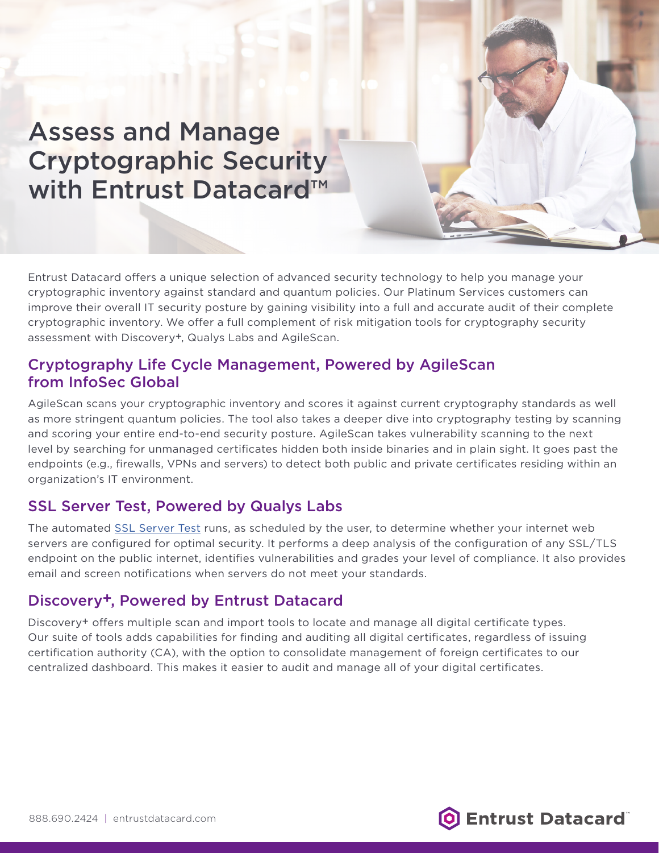Assess and Manage Cryptographic Security with Entrust Datacard™

Entrust Datacard offers a unique selection of advanced security technology to help you manage your cryptographic inventory against standard and quantum policies. Our Platinum Services customers can improve their overall IT security posture by gaining visibility into a full and accurate audit of their complete cryptographic inventory. We offer a full complement of risk mitigation tools for cryptography security assessment with Discovery+, Qualys Labs and AgileScan.

### Cryptography Life Cycle Management, Powered by AgileScan from InfoSec Global

AgileScan scans your cryptographic inventory and scores it against current cryptography standards as well as more stringent quantum policies. The tool also takes a deeper dive into cryptography testing by scanning and scoring your entire end-to-end security posture. AgileScan takes vulnerability scanning to the next level by searching for unmanaged certificates hidden both inside binaries and in plain sight. It goes past the endpoints (e.g., firewalls, VPNs and servers) to detect both public and private certificates residing within an organization's IT environment.

# SSL Server Test, Powered by Qualys Labs

The automated SSL Server Test runs, as scheduled by the user, to determine whether your internet web servers are configured for optimal security. It performs a deep analysis of the configuration of any SSL/TLS endpoint on the public internet, identifies vulnerabilities and grades your level of compliance. It also provides email and screen notifications when servers do not meet your standards.

## Discovery+, Powered by Entrust Datacard

Discovery+ offers multiple scan and import tools to locate and manage all digital certificate types. Our suite of tools adds capabilities for finding and auditing all digital certificates, regardless of issuing certification authority (CA), with the option to consolidate management of foreign certificates to our centralized dashboard. This makes it easier to audit and manage all of your digital certificates.

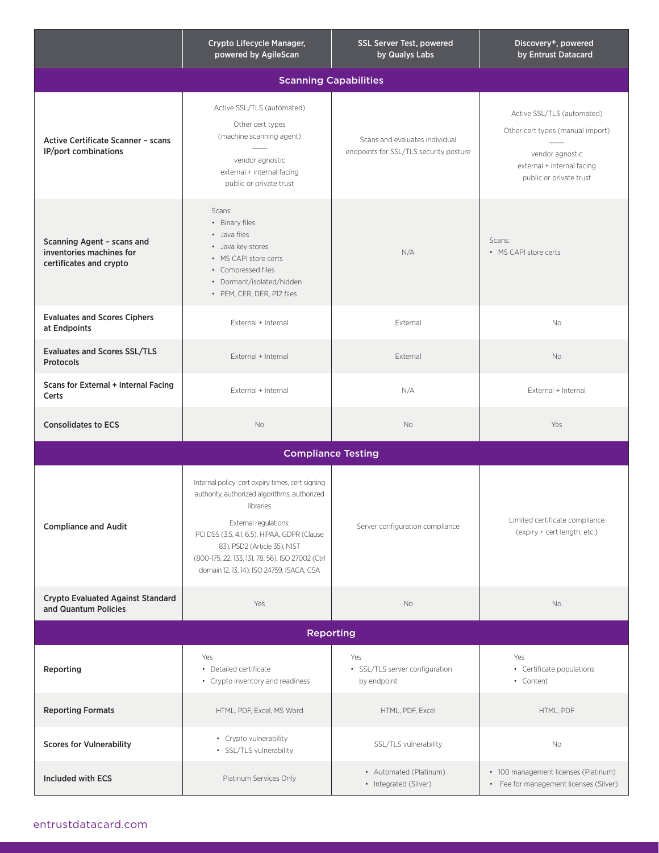|                                                                                   | Crypto Lifecycle Manager,<br>powered by AgileScan                                                                                                                                                                                                                                                                       | SSL Server Test, powered<br>by Qualys Labs                               | Discovery+, powered<br>by Entrust Datacard                                                                                                 |
|-----------------------------------------------------------------------------------|-------------------------------------------------------------------------------------------------------------------------------------------------------------------------------------------------------------------------------------------------------------------------------------------------------------------------|--------------------------------------------------------------------------|--------------------------------------------------------------------------------------------------------------------------------------------|
| <b>Scanning Capabilities</b>                                                      |                                                                                                                                                                                                                                                                                                                         |                                                                          |                                                                                                                                            |
| <b>Active Certificate Scanner - scans</b><br><b>IP/port combinations</b>          | Active SSL/TLS (automated)<br>Other cert types<br>(machine scanning agent)<br>vendor agnostic<br>external + internal facing<br>public or private trust                                                                                                                                                                  | Scans and evaluates individual<br>endpoints for SSL/TLS security posture | Active SSL/TLS (automated)<br>Other cert types (manual import)<br>vendor agnostic<br>external + internal facing<br>public or private trust |
| Scanning Agent - scans and<br>inventories machines for<br>certificates and crypto | Scans:<br>• Binary files<br>• Java files<br>• Java key stores<br>• MS CAPI store certs<br>• Compressed files<br>• Dormant/isolated/hidden<br>· PEM, CER, DER, P12 files                                                                                                                                                 | N/A                                                                      | Scans:<br>• MS CAPI store certs                                                                                                            |
| <b>Evaluates and Scores Ciphers</b><br>at Endpoints                               | External + Internal                                                                                                                                                                                                                                                                                                     | External                                                                 | <b>No</b>                                                                                                                                  |
| <b>Evaluates and Scores SSL/TLS</b><br><b>Protocols</b>                           | External + Internal                                                                                                                                                                                                                                                                                                     | External                                                                 | <b>No</b>                                                                                                                                  |
| Scans for External + Internal Facing<br>Certs                                     | External + Internal                                                                                                                                                                                                                                                                                                     | N/A                                                                      | External + Internal                                                                                                                        |
| <b>Consolidates to ECS</b>                                                        | No                                                                                                                                                                                                                                                                                                                      | No                                                                       | Yes                                                                                                                                        |
| <b>Compliance Testing</b>                                                         |                                                                                                                                                                                                                                                                                                                         |                                                                          |                                                                                                                                            |
| <b>Compliance and Audit</b>                                                       | Internal policy: cert expiry times, cert signing<br>authority, authorized algorithms, authorized<br>libraries<br>External regulations:<br>PCI DSS (3.5, 4.1, 6.5), HIPAA, GDPR (Clause<br>83), PSD2 (Article 35), NIST<br>(800-175, 22, 133, 131, 78, 56), ISO 27002 (Ctrl<br>domain 12, 13, 14), ISO 24759, ISACA, CSA | Server configuration compliance                                          | Limited certificate compliance<br>(expiry + cert length, etc.)                                                                             |
| <b>Crypto Evaluated Against Standard</b><br>and Quantum Policies                  | Yes                                                                                                                                                                                                                                                                                                                     | No                                                                       | No                                                                                                                                         |
| <b>Reporting</b>                                                                  |                                                                                                                                                                                                                                                                                                                         |                                                                          |                                                                                                                                            |
| Reporting                                                                         | Yes<br>• Detailed certificate<br>• Crypto inventory and readiness                                                                                                                                                                                                                                                       | Yes<br>• SSL/TLS server configuration<br>by endpoint                     | Yes<br>• Certificate populations<br>• Content                                                                                              |
| <b>Reporting Formats</b>                                                          | HTML, PDF, Excel, MS Word                                                                                                                                                                                                                                                                                               | HTML, PDF, Excel                                                         | HTML, PDF                                                                                                                                  |
| <b>Scores for Vulnerability</b>                                                   | • Crypto vulnerability<br>· SSL/TLS vulnerability                                                                                                                                                                                                                                                                       | SSL/TLS vulnerability                                                    | No                                                                                                                                         |
| Included with ECS                                                                 | Platinum Services Only                                                                                                                                                                                                                                                                                                  | • Automated (Platinum)<br>• Integrated (Silver)                          | • 100 management licenses (Platinum)<br>• Fee for management licenses (Silver)                                                             |